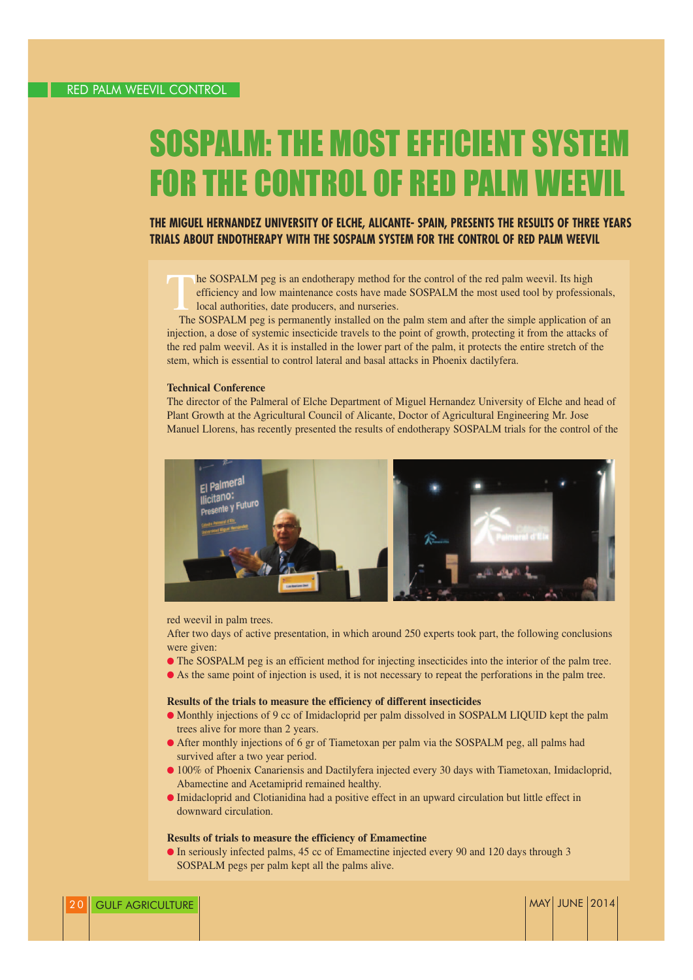# **SOSPALM: THE MOST EFFICIENT SYSTEI FOR THE CONTROL OF RED PALM WEE**

# **THE MIGUEL HERNANDEZ UNIVERSITY OF ELCHE, ALICANTE- SPAIN, PRESENTS THE RESULTS OF THREE YEARS TRIALS ABOUT ENDOTHERAPY WITH THE SOSPALM SYSTEM FOR THE CONTROL OF RED PALM WEEVIL**

he SOSPALM peg is an endotherapy method for the control of the red palm weevil. Its high efficiency and low maintenance costs have made SOSPALM the most used tool by professionals, local authorities, date producers, and nurseries.

The SOSPALM peg is permanently installed on the palm stem and after the simple application of an injection, a dose of systemic insecticide travels to the point of growth, protecting it from the attacks of the red palm weevil. As it is installed in the lower part of the palm, it protects the entire stretch of the stem, which is essential to control lateral and basal attacks in Phoenix dactilyfera.

#### **Technical Conference**

The director of the Palmeral of Elche Department of Miguel Hernandez University of Elche and head of Plant Growth at the Agricultural Council of Alicante, Doctor of Agricultural Engineering Mr. Jose Manuel Llorens, has recently presented the results of endotherapy SOSPALM trials for the control of the



red weevil in palm trees.

After two days of active presentation, in which around 250 experts took part, the following conclusions were given:

- The SOSPALM peg is an efficient method for injecting insecticides into the interior of the palm tree.
- As the same point of injection is used, it is not necessary to repeat the perforations in the palm tree.

#### **Results of the trials to measure the efficiency of different insecticides**

- Monthly injections of 9 cc of Imidacloprid per palm dissolved in SOSPALM LIQUID kept the palm trees alive for more than 2 years.
- After monthly injections of 6 gr of Tiametoxan per palm via the SOSPALM peg, all palms had survived after a two year period.
- 100% of Phoenix Canariensis and Dactilyfera injected every 30 days with Tiametoxan, Imidacloprid, Abamectine and Acetamiprid remained healthy.
- Imidacloprid and Clotianidina had a positive effect in an upward circulation but little effect in downward circulation.

### **Results of trials to measure the efficiency of Emamectine**

● In seriously infected palms, 45 cc of Emamectine injected every 90 and 120 days through 3 SOSPALM pegs per palm kept all the palms alive.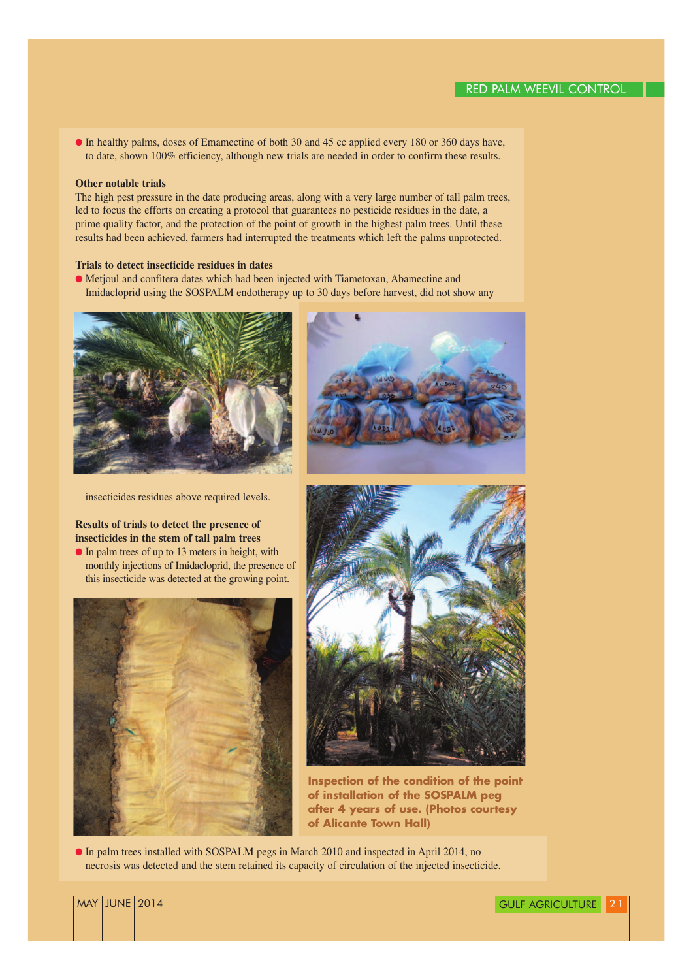● In healthy palms, doses of Emamectine of both 30 and 45 cc applied every 180 or 360 days have, to date, shown 100% efficiency, although new trials are needed in order to confirm these results.

#### **Other notable trials**

The high pest pressure in the date producing areas, along with a very large number of tall palm trees, led to focus the efforts on creating a protocol that guarantees no pesticide residues in the date, a prime quality factor, and the protection of the point of growth in the highest palm trees. Until these results had been achieved, farmers had interrupted the treatments which left the palms unprotected.

### **Trials to detect insecticide residues in dates**

● Metjoul and confitera dates which had been injected with Tiametoxan, Abamectine and Imidacloprid using the SOSPALM endotherapy up to 30 days before harvest, did not show any





insecticides residues above required levels.

## **Results of trials to detect the presence of insecticides in the stem of tall palm trees**

● In palm trees of up to 13 meters in height, with monthly injections of Imidacloprid, the presence of this insecticide was detected at the growing point.





**Inspection of the condition of the point of installation of the SOSPALM peg after 4 years of use. (Photos courtesy of Alicante Town Hall)**

● In palm trees installed with SOSPALM pegs in March 2010 and inspected in April 2014, no necrosis was detected and the stem retained its capacity of circulation of the injected insecticide.

## MAY JUNE 2014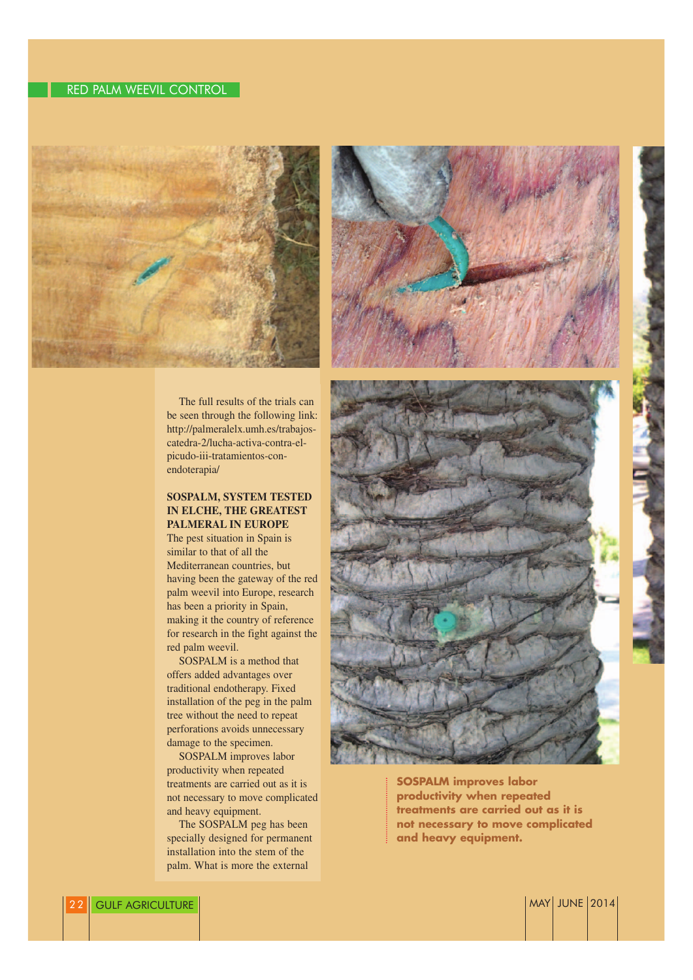# RED PALM WEEVIL CONTROL



The full results of the trials can be seen through the following link: http://palmeralelx.umh.es/trabajoscatedra-2/lucha-activa-contra-elpicudo-iii-tratamientos-conendoterapia/

### **SOSPALM, SYSTEM TESTED IN ELCHE, THE GREATEST PALMERAL IN EUROPE**

The pest situation in Spain is similar to that of all the Mediterranean countries, but having been the gateway of the red palm weevil into Europe, research has been a priority in Spain, making it the country of reference for research in the fight against the red palm weevil.

SOSPALM is a method that offers added advantages over traditional endotherapy. Fixed installation of the peg in the palm tree without the need to repeat perforations avoids unnecessary damage to the specimen.

SOSPALM improves labor productivity when repeated treatments are carried out as it is not necessary to move complicated and heavy equipment.

The SOSPALM peg has been specially designed for permanent installation into the stem of the palm. What is more the external





**SOSPALM improves labor productivity when repeated treatments are carried out as it is not necessary to move complicated and heavy equipment.**

2014 GULF AGRICULTURE MAY ISSUED AND THE SERVICE OF THE SERVICE OF THE SERVICE OF THE SERVICE OF THE SERVICE OF THE SERVICE OF THE SERVICE OF THE SERVICE OF THE SERVICE OF THE SERVICE OF THE SERVICE OF THE SERVICE OF THE S